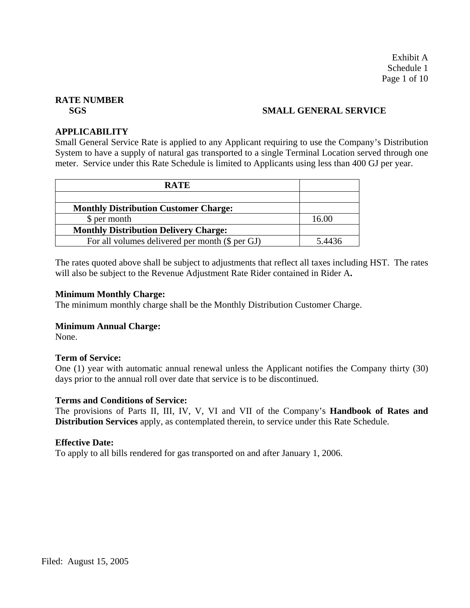Exhibit A Schedule 1 Page 1 of 10

# **RATE NUMBER**

# **SGS** SMALL GENERAL SERVICE

#### **APPLICABILITY**

Small General Service Rate is applied to any Applicant requiring to use the Company's Distribution System to have a supply of natural gas transported to a single Terminal Location served through one meter. Service under this Rate Schedule is limited to Applicants using less than 400 GJ per year.

| <b>RATE</b>                                     |        |
|-------------------------------------------------|--------|
|                                                 |        |
| <b>Monthly Distribution Customer Charge:</b>    |        |
| \$ per month                                    | 16.00  |
| <b>Monthly Distribution Delivery Charge:</b>    |        |
| For all volumes delivered per month (\$ per GJ) | 5.4436 |

The rates quoted above shall be subject to adjustments that reflect all taxes including HST. The rates will also be subject to the Revenue Adjustment Rate Rider contained in Rider A**.**

#### **Minimum Monthly Charge:**

The minimum monthly charge shall be the Monthly Distribution Customer Charge.

#### **Minimum Annual Charge:**

None.

#### **Term of Service:**

One (1) year with automatic annual renewal unless the Applicant notifies the Company thirty (30) days prior to the annual roll over date that service is to be discontinued.

#### **Terms and Conditions of Service:**

The provisions of Parts II, III, IV, V, VI and VII of the Company's **Handbook of Rates and Distribution Services** apply, as contemplated therein, to service under this Rate Schedule.

#### **Effective Date:**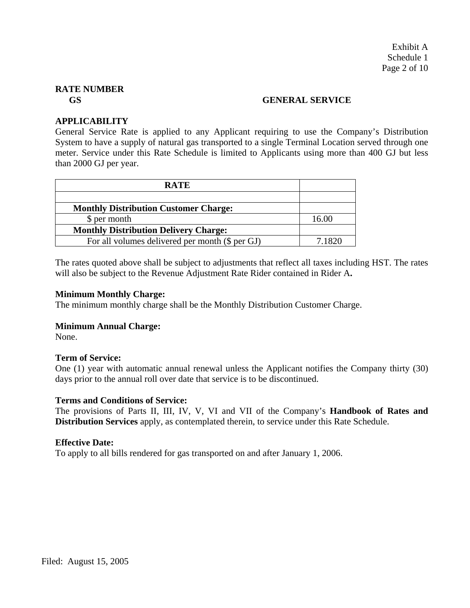#### **GS GENERAL SERVICE**

# **APPLICABILITY**

General Service Rate is applied to any Applicant requiring to use the Company's Distribution System to have a supply of natural gas transported to a single Terminal Location served through one meter. Service under this Rate Schedule is limited to Applicants using more than 400 GJ but less than 2000 GJ per year.

| <b>RATE</b>                                     |        |
|-------------------------------------------------|--------|
|                                                 |        |
| <b>Monthly Distribution Customer Charge:</b>    |        |
| \$ per month                                    | 16.00  |
| <b>Monthly Distribution Delivery Charge:</b>    |        |
| For all volumes delivered per month (\$ per GJ) | 7 1820 |

The rates quoted above shall be subject to adjustments that reflect all taxes including HST. The rates will also be subject to the Revenue Adjustment Rate Rider contained in Rider A**.** 

#### **Minimum Monthly Charge:**

The minimum monthly charge shall be the Monthly Distribution Customer Charge.

#### **Minimum Annual Charge:**

None.

#### **Term of Service:**

One (1) year with automatic annual renewal unless the Applicant notifies the Company thirty (30) days prior to the annual roll over date that service is to be discontinued.

#### **Terms and Conditions of Service:**

The provisions of Parts II, III, IV, V, VI and VII of the Company's **Handbook of Rates and Distribution Services** apply, as contemplated therein, to service under this Rate Schedule.

#### **Effective Date:**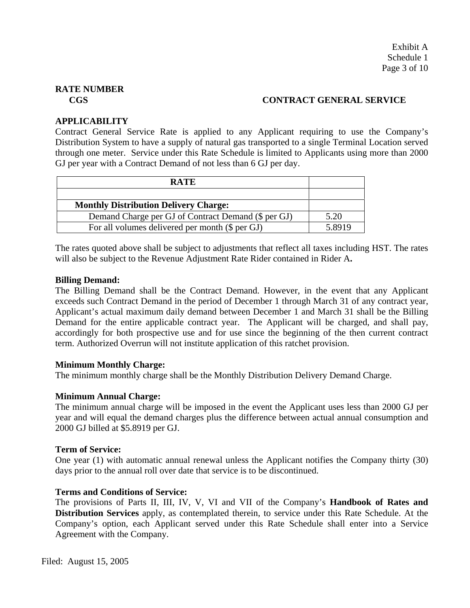# **CGS CONTRACT GENERAL SERVICE**

# **APPLICABILITY**

Contract General Service Rate is applied to any Applicant requiring to use the Company's Distribution System to have a supply of natural gas transported to a single Terminal Location served through one meter. Service under this Rate Schedule is limited to Applicants using more than 2000 GJ per year with a Contract Demand of not less than 6 GJ per day.

| <b>RATE</b>                                         |       |
|-----------------------------------------------------|-------|
|                                                     |       |
| <b>Monthly Distribution Delivery Charge:</b>        |       |
| Demand Charge per GJ of Contract Demand (\$ per GJ) | 5.20  |
| For all volumes delivered per month (\$ per GJ)     | 58919 |

The rates quoted above shall be subject to adjustments that reflect all taxes including HST. The rates will also be subject to the Revenue Adjustment Rate Rider contained in Rider A**.**

#### **Billing Demand:**

The Billing Demand shall be the Contract Demand. However, in the event that any Applicant exceeds such Contract Demand in the period of December 1 through March 31 of any contract year, Applicant's actual maximum daily demand between December 1 and March 31 shall be the Billing Demand for the entire applicable contract year. The Applicant will be charged, and shall pay, accordingly for both prospective use and for use since the beginning of the then current contract term. Authorized Overrun will not institute application of this ratchet provision.

#### **Minimum Monthly Charge:**

The minimum monthly charge shall be the Monthly Distribution Delivery Demand Charge.

#### **Minimum Annual Charge:**

The minimum annual charge will be imposed in the event the Applicant uses less than 2000 GJ per year and will equal the demand charges plus the difference between actual annual consumption and 2000 GJ billed at \$5.8919 per GJ.

#### **Term of Service:**

One year (1) with automatic annual renewal unless the Applicant notifies the Company thirty (30) days prior to the annual roll over date that service is to be discontinued.

#### **Terms and Conditions of Service:**

The provisions of Parts II, III, IV, V, VI and VII of the Company's **Handbook of Rates and Distribution Services** apply, as contemplated therein, to service under this Rate Schedule. At the Company's option, each Applicant served under this Rate Schedule shall enter into a Service Agreement with the Company.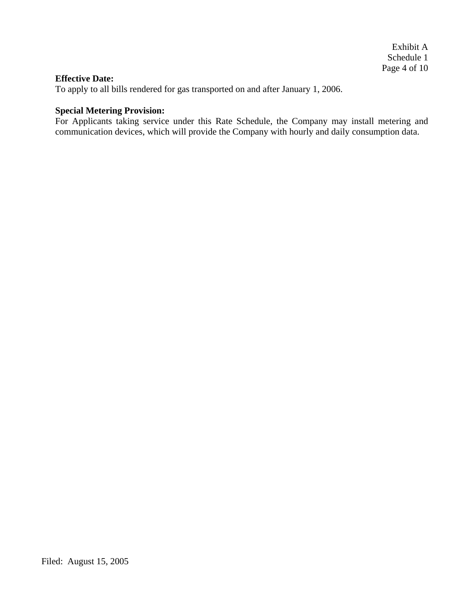#### **Effective Date:**

To apply to all bills rendered for gas transported on and after January 1, 2006.

# **Special Metering Provision:**

For Applicants taking service under this Rate Schedule, the Company may install metering and communication devices, which will provide the Company with hourly and daily consumption data.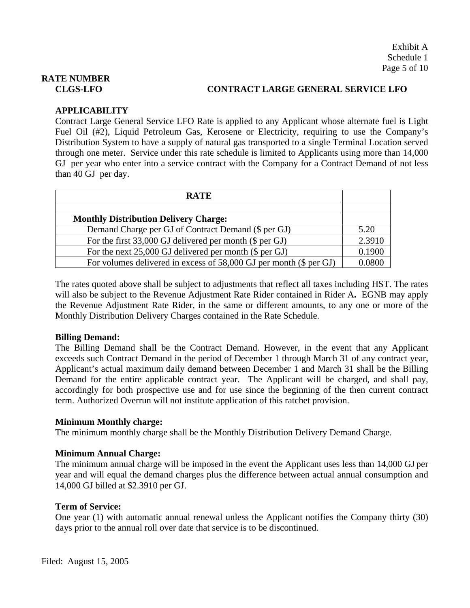# **CLGS-LFO CONTRACT LARGE GENERAL SERVICE LFO**

# **APPLICABILITY**

Contract Large General Service LFO Rate is applied to any Applicant whose alternate fuel is Light Fuel Oil (#2), Liquid Petroleum Gas, Kerosene or Electricity, requiring to use the Company's Distribution System to have a supply of natural gas transported to a single Terminal Location served through one meter. Service under this rate schedule is limited to Applicants using more than 14,000 GJ per year who enter into a service contract with the Company for a Contract Demand of not less than 40 GJ per day.

| <b>RATE</b>                                                          |        |
|----------------------------------------------------------------------|--------|
|                                                                      |        |
| <b>Monthly Distribution Delivery Charge:</b>                         |        |
| Demand Charge per GJ of Contract Demand (\$ per GJ)                  | 5.20   |
| For the first 33,000 GJ delivered per month (\$ per GJ)              | 2.3910 |
| For the next $25,000$ GJ delivered per month (\$ per GJ)             | 0.1900 |
| For volumes delivered in excess of $58,000$ GJ per month (\$ per GJ) | 0.0800 |

The rates quoted above shall be subject to adjustments that reflect all taxes including HST. The rates will also be subject to the Revenue Adjustment Rate Rider contained in Rider A**.** EGNB may apply the Revenue Adjustment Rate Rider, in the same or different amounts, to any one or more of the Monthly Distribution Delivery Charges contained in the Rate Schedule.

#### **Billing Demand:**

The Billing Demand shall be the Contract Demand. However, in the event that any Applicant exceeds such Contract Demand in the period of December 1 through March 31 of any contract year, Applicant's actual maximum daily demand between December 1 and March 31 shall be the Billing Demand for the entire applicable contract year. The Applicant will be charged, and shall pay, accordingly for both prospective use and for use since the beginning of the then current contract term. Authorized Overrun will not institute application of this ratchet provision.

#### **Minimum Monthly charge:**

The minimum monthly charge shall be the Monthly Distribution Delivery Demand Charge.

#### **Minimum Annual Charge:**

The minimum annual charge will be imposed in the event the Applicant uses less than 14,000 GJ per year and will equal the demand charges plus the difference between actual annual consumption and 14,000 GJ billed at \$2.3910 per GJ.

#### **Term of Service:**

One year (1) with automatic annual renewal unless the Applicant notifies the Company thirty (30) days prior to the annual roll over date that service is to be discontinued.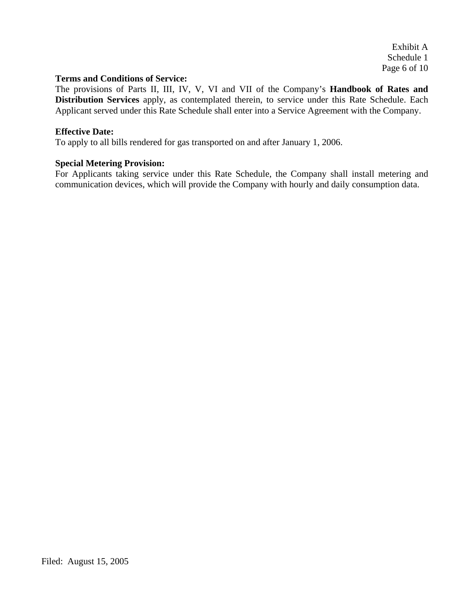Exhibit A Schedule 1 Page 6 of 10

#### **Terms and Conditions of Service:**

The provisions of Parts II, III, IV, V, VI and VII of the Company's **Handbook of Rates and Distribution Services** apply, as contemplated therein, to service under this Rate Schedule. Each Applicant served under this Rate Schedule shall enter into a Service Agreement with the Company.

#### **Effective Date:**

To apply to all bills rendered for gas transported on and after January 1, 2006.

#### **Special Metering Provision:**

For Applicants taking service under this Rate Schedule, the Company shall install metering and communication devices, which will provide the Company with hourly and daily consumption data.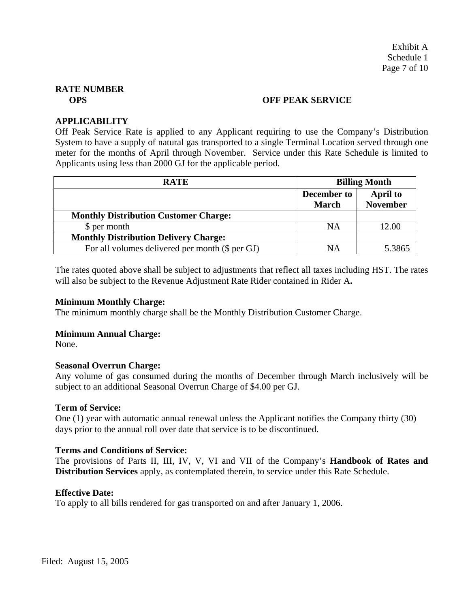#### **OPS** OFF PEAK SERVICE

#### **APPLICABILITY**

Off Peak Service Rate is applied to any Applicant requiring to use the Company's Distribution System to have a supply of natural gas transported to a single Terminal Location served through one meter for the months of April through November. Service under this Rate Schedule is limited to Applicants using less than 2000 GJ for the applicable period.

| <b>RATE</b>                                     | <b>Billing Month</b>               |                                    |
|-------------------------------------------------|------------------------------------|------------------------------------|
|                                                 | <b>December to</b><br><b>March</b> | <b>April to</b><br><b>November</b> |
| <b>Monthly Distribution Customer Charge:</b>    |                                    |                                    |
| \$ per month                                    | NA                                 | 12.00                              |
| <b>Monthly Distribution Delivery Charge:</b>    |                                    |                                    |
| For all volumes delivered per month (\$ per GJ) | <b>NA</b>                          | 5.3865                             |

The rates quoted above shall be subject to adjustments that reflect all taxes including HST. The rates will also be subject to the Revenue Adjustment Rate Rider contained in Rider A**.** 

#### **Minimum Monthly Charge:**

The minimum monthly charge shall be the Monthly Distribution Customer Charge.

#### **Minimum Annual Charge:**

None.

#### **Seasonal Overrun Charge:**

Any volume of gas consumed during the months of December through March inclusively will be subject to an additional Seasonal Overrun Charge of \$4.00 per GJ.

#### **Term of Service:**

One (1) year with automatic annual renewal unless the Applicant notifies the Company thirty (30) days prior to the annual roll over date that service is to be discontinued.

#### **Terms and Conditions of Service:**

The provisions of Parts II, III, IV, V, VI and VII of the Company's **Handbook of Rates and Distribution Services** apply, as contemplated therein, to service under this Rate Schedule.

#### **Effective Date:**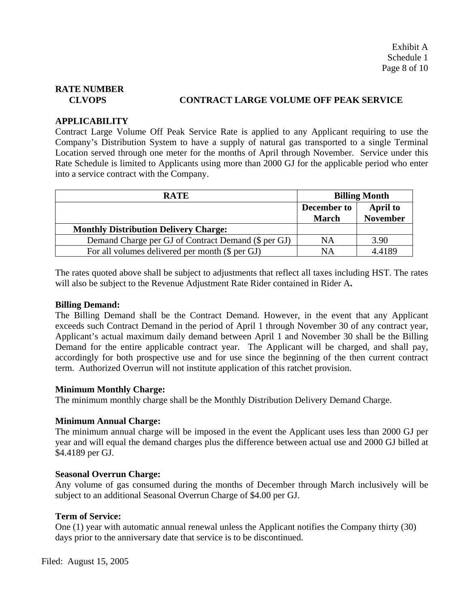# **CLVOPS CONTRACT LARGE VOLUME OFF PEAK SERVICE**

# **APPLICABILITY**

Contract Large Volume Off Peak Service Rate is applied to any Applicant requiring to use the Company's Distribution System to have a supply of natural gas transported to a single Terminal Location served through one meter for the months of April through November. Service under this Rate Schedule is limited to Applicants using more than 2000 GJ for the applicable period who enter into a service contract with the Company.

| <b>RATE</b>                                         | <b>Billing Month</b>        |                                    |
|-----------------------------------------------------|-----------------------------|------------------------------------|
|                                                     | December to<br><b>March</b> | <b>April to</b><br><b>November</b> |
| <b>Monthly Distribution Delivery Charge:</b>        |                             |                                    |
| Demand Charge per GJ of Contract Demand (\$ per GJ) | <b>NA</b>                   | 3.90                               |
| For all volumes delivered per month (\$ per GJ)     | NΑ                          | 4.4189                             |

The rates quoted above shall be subject to adjustments that reflect all taxes including HST. The rates will also be subject to the Revenue Adjustment Rate Rider contained in Rider A**.** 

#### **Billing Demand:**

The Billing Demand shall be the Contract Demand. However, in the event that any Applicant exceeds such Contract Demand in the period of April 1 through November 30 of any contract year, Applicant's actual maximum daily demand between April 1 and November 30 shall be the Billing Demand for the entire applicable contract year. The Applicant will be charged, and shall pay, accordingly for both prospective use and for use since the beginning of the then current contract term. Authorized Overrun will not institute application of this ratchet provision.

#### **Minimum Monthly Charge:**

The minimum monthly charge shall be the Monthly Distribution Delivery Demand Charge.

#### **Minimum Annual Charge:**

The minimum annual charge will be imposed in the event the Applicant uses less than 2000 GJ per year and will equal the demand charges plus the difference between actual use and 2000 GJ billed at \$4.4189 per GJ.

#### **Seasonal Overrun Charge:**

Any volume of gas consumed during the months of December through March inclusively will be subject to an additional Seasonal Overrun Charge of \$4.00 per GJ.

# **Term of Service:**

One (1) year with automatic annual renewal unless the Applicant notifies the Company thirty (30) days prior to the anniversary date that service is to be discontinued.

Filed: August 15, 2005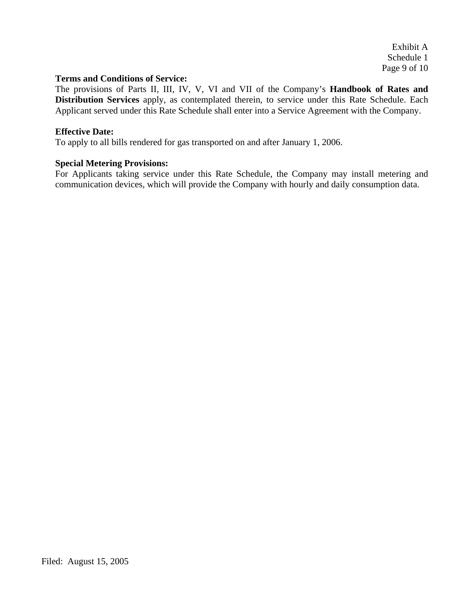Exhibit A Schedule 1 Page 9 of 10

#### **Terms and Conditions of Service:**

The provisions of Parts II, III, IV, V, VI and VII of the Company's **Handbook of Rates and Distribution Services** apply, as contemplated therein, to service under this Rate Schedule. Each Applicant served under this Rate Schedule shall enter into a Service Agreement with the Company.

#### **Effective Date:**

To apply to all bills rendered for gas transported on and after January 1, 2006.

#### **Special Metering Provisions:**

For Applicants taking service under this Rate Schedule, the Company may install metering and communication devices, which will provide the Company with hourly and daily consumption data.